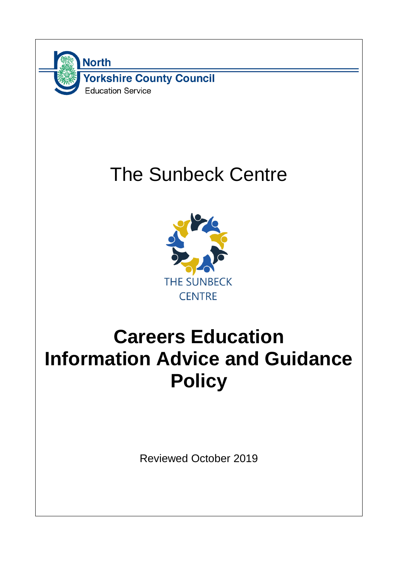

# The Sunbeck Centre



## **Careers Education Information Advice and Guidance Policy**

Reviewed October 2019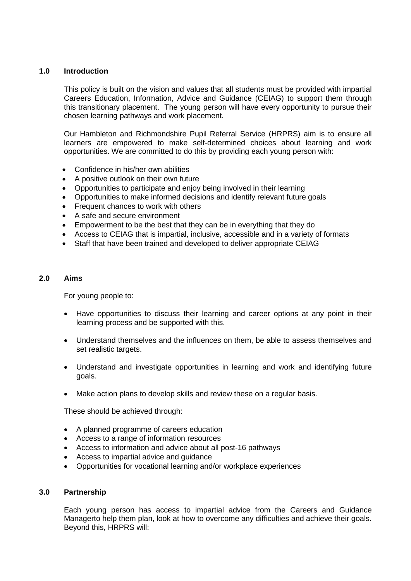## **1.0 Introduction**

This policy is built on the vision and values that all students must be provided with impartial Careers Education, Information, Advice and Guidance (CEIAG) to support them through this transitionary placement. The young person will have every opportunity to pursue their chosen learning pathways and work placement.

Our Hambleton and Richmondshire Pupil Referral Service (HRPRS) aim is to ensure all learners are empowered to make self-determined choices about learning and work opportunities. We are committed to do this by providing each young person with:

- Confidence in his/her own abilities
- A positive outlook on their own future
- Opportunities to participate and enjoy being involved in their learning
- Opportunities to make informed decisions and identify relevant future goals
- Frequent chances to work with others
- A safe and secure environment
- Empowerment to be the best that they can be in everything that they do
- Access to CEIAG that is impartial, inclusive, accessible and in a variety of formats
- Staff that have been trained and developed to deliver appropriate CEIAG

#### **2.0 Aims**

For young people to:

- Have opportunities to discuss their learning and career options at any point in their learning process and be supported with this.
- Understand themselves and the influences on them, be able to assess themselves and set realistic targets.
- Understand and investigate opportunities in learning and work and identifying future goals.
- Make action plans to develop skills and review these on a regular basis.

These should be achieved through:

- A planned programme of careers education
- Access to a range of information resources
- Access to information and advice about all post-16 pathways
- Access to impartial advice and guidance
- Opportunities for vocational learning and/or workplace experiences

#### **3.0 Partnership**

Each young person has access to impartial advice from the Careers and Guidance Managerto help them plan, look at how to overcome any difficulties and achieve their goals. Beyond this, HRPRS will: